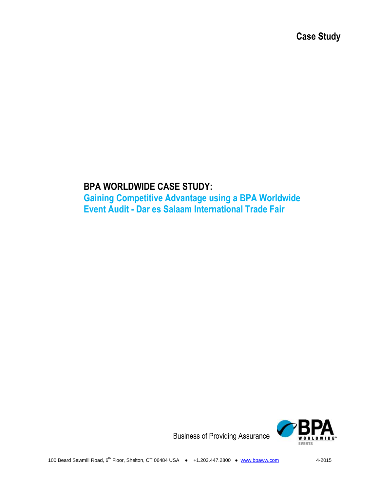**Case Study**

# **BPA WORLDWIDE CASE STUDY:**

**Gaining Competitive Advantage using a BPA Worldwide Event Audit - Dar es Salaam International Trade Fair**



Business of Providing Assurance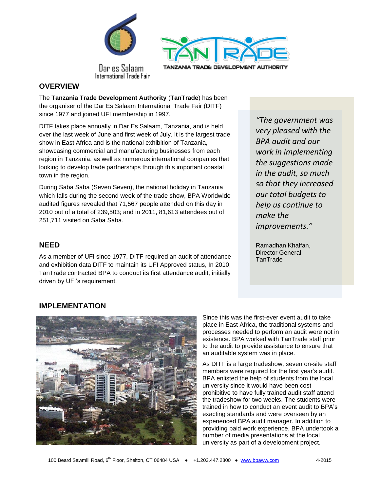



Dar es Salaam International Trade Fair

#### **OVERVIEW**

The **Tanzania Trade Development Authority** (**TanTrade**) has been the organiser of the Dar Es Salaam International Trade Fair (DITF) since 1977 and joined UFI membership in 1997.

DITF takes place annually in Dar Es Salaam, Tanzania, and is held over the last week of June and first week of July. It is the largest trade show in East Africa and is the national exhibition of Tanzania, showcasing commercial and manufacturing businesses from each region in Tanzania, as well as numerous international companies that looking to develop trade partnerships through this important coastal town in the region.

During Saba Saba (Seven Seven), the national holiday in Tanzania which falls during the second week of the trade show, BPA Worldwide audited figures revealed that 71,567 people attended on this day in 2010 out of a total of 239,503; and in 2011, 81,613 attendees out of 251,711 visited on Saba Saba.

### **NEED**

As a member of UFI since 1977, DITF required an audit of attendance and exhibition data DITF to maintain its UFI Approved status, In 2010, TanTrade contracted BPA to conduct its first attendance audit, initially driven by UFI's requirement.

*"The government was very pleased with the BPA audit and our work in implementing the suggestions made in the audit, so much so that they increased our total budgets to help us continue to make the improvements."*

Ramadhan Khalfan, Director General **TanTrade** 

# **IMPLEMENTATION**



Since this was the first-ever event audit to take place in East Africa, the traditional systems and processes needed to perform an audit were not in existence. BPA worked with TanTrade staff prior to the audit to provide assistance to ensure that an auditable system was in place.

As DITF is a large tradeshow, seven on-site staff members were required for the first year's audit. BPA enlisted the help of students from the local university since it would have been cost prohibitive to have fully trained audit staff attend the tradeshow for two weeks. The students were trained in how to conduct an event audit to BPA's exacting standards and were overseen by an experienced BPA audit manager. In addition to providing paid work experience, BPA undertook a number of media presentations at the local university as part of a development project.